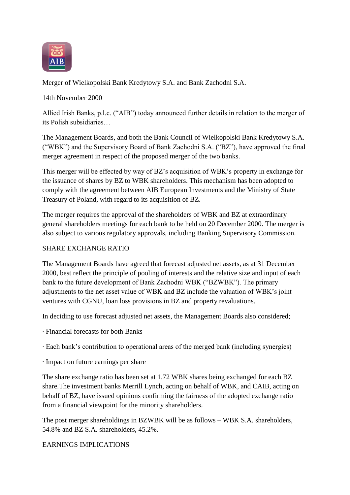

Merger of Wielkopolski Bank Kredytowy S.A. and Bank Zachodni S.A.

14th November 2000

Allied Irish Banks, p.l.c. ("AIB") today announced further details in relation to the merger of its Polish subsidiaries…

The Management Boards, and both the Bank Council of Wielkopolski Bank Kredytowy S.A. ("WBK") and the Supervisory Board of Bank Zachodni S.A. ("BZ"), have approved the final merger agreement in respect of the proposed merger of the two banks.

This merger will be effected by way of BZ"s acquisition of WBK"s property in exchange for the issuance of shares by BZ to WBK shareholders. This mechanism has been adopted to comply with the agreement between AIB European Investments and the Ministry of State Treasury of Poland, with regard to its acquisition of BZ.

The merger requires the approval of the shareholders of WBK and BZ at extraordinary general shareholders meetings for each bank to be held on 20 December 2000. The merger is also subject to various regulatory approvals, including Banking Supervisory Commission.

# SHARE EXCHANGE RATIO

The Management Boards have agreed that forecast adjusted net assets, as at 31 December 2000, best reflect the principle of pooling of interests and the relative size and input of each bank to the future development of Bank Zachodni WBK ("BZWBK"). The primary adjustments to the net asset value of WBK and BZ include the valuation of WBK"s joint ventures with CGNU, loan loss provisions in BZ and property revaluations.

In deciding to use forecast adjusted net assets, the Management Boards also considered;

- · Financial forecasts for both Banks
- · Each bank"s contribution to operational areas of the merged bank (including synergies)
- · Impact on future earnings per share

The share exchange ratio has been set at 1.72 WBK shares being exchanged for each BZ share.The investment banks Merrill Lynch, acting on behalf of WBK, and CAIB, acting on behalf of BZ, have issued opinions confirming the fairness of the adopted exchange ratio from a financial viewpoint for the minority shareholders.

The post merger shareholdings in BZWBK will be as follows – WBK S.A. shareholders, 54.8% and BZ S.A. shareholders, 45.2%.

## EARNINGS IMPLICATIONS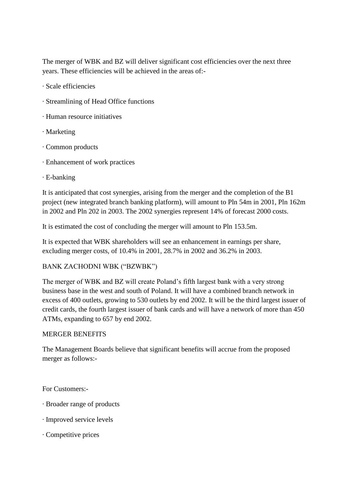The merger of WBK and BZ will deliver significant cost efficiencies over the next three years. These efficiencies will be achieved in the areas of:-

- · Scale efficiencies
- · Streamlining of Head Office functions
- · Human resource initiatives
- · Marketing
- · Common products
- · Enhancement of work practices
- · E-banking

It is anticipated that cost synergies, arising from the merger and the completion of the B1 project (new integrated branch banking platform), will amount to Pln 54m in 2001, Pln 162m in 2002 and Pln 202 in 2003. The 2002 synergies represent 14% of forecast 2000 costs.

It is estimated the cost of concluding the merger will amount to Pln 153.5m.

It is expected that WBK shareholders will see an enhancement in earnings per share, excluding merger costs, of 10.4% in 2001, 28.7% in 2002 and 36.2% in 2003.

# BANK ZACHODNI WBK ("BZWBK")

The merger of WBK and BZ will create Poland"s fifth largest bank with a very strong business base in the west and south of Poland. It will have a combined branch network in excess of 400 outlets, growing to 530 outlets by end 2002. It will be the third largest issuer of credit cards, the fourth largest issuer of bank cards and will have a network of more than 450 ATMs, expanding to 657 by end 2002.

## MERGER BENEFITS

The Management Boards believe that significant benefits will accrue from the proposed merger as follows:-

For Customers:-

- · Broader range of products
- · Improved service levels
- · Competitive prices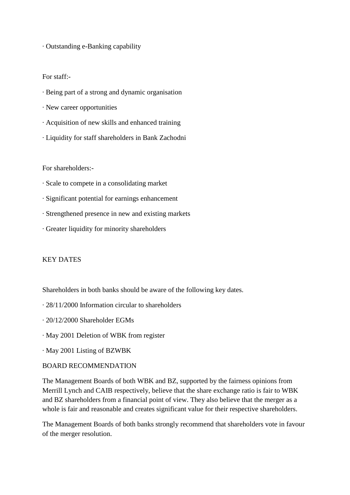· Outstanding e-Banking capability

### For staff:-

- · Being part of a strong and dynamic organisation
- · New career opportunities
- · Acquisition of new skills and enhanced training
- · Liquidity for staff shareholders in Bank Zachodni

### For shareholders:-

- · Scale to compete in a consolidating market
- · Significant potential for earnings enhancement
- · Strengthened presence in new and existing markets
- · Greater liquidity for minority shareholders

## KEY DATES

Shareholders in both banks should be aware of the following key dates.

- · 28/11/2000 Information circular to shareholders
- · 20/12/2000 Shareholder EGMs
- · May 2001 Deletion of WBK from register
- · May 2001 Listing of BZWBK

### BOARD RECOMMENDATION

The Management Boards of both WBK and BZ, supported by the fairness opinions from Merrill Lynch and CAIB respectively, believe that the share exchange ratio is fair to WBK and BZ shareholders from a financial point of view. They also believe that the merger as a whole is fair and reasonable and creates significant value for their respective shareholders.

The Management Boards of both banks strongly recommend that shareholders vote in favour of the merger resolution.